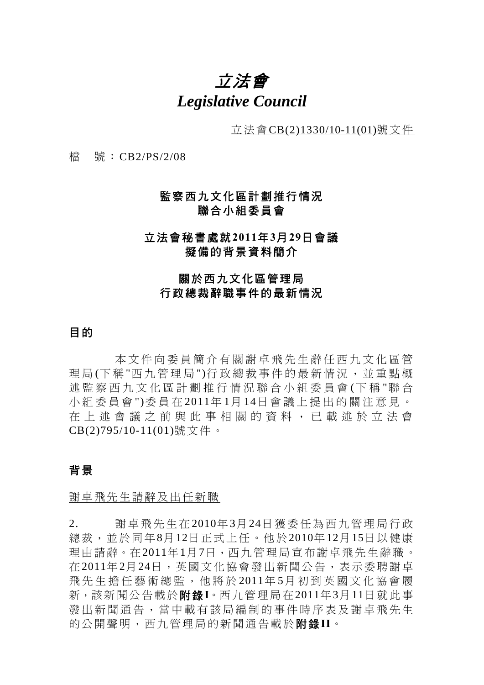# 立法會 *Legislative Council*

立法會CB(2)1330/10-11(01)號文件

檔 號:CB2/PS/2/08

### 監察西九文化區計劃推行情況 聯合小組委員會

### 立法會秘書處就**2011**年**3**月**29**日會議 擬備的背景資料簡介

### 關於西九文化區管理局 行政總裁辭職事件的最新情況

### 目的

本文件向委員簡介有關謝卓飛先生辭任西九文化區管 理局(下稱"西九管理局")行政總裁事件的最新情況,並重點概 述監察西九文化區計劃推行情況聯合小組委員會 (下 稱 "聯 合 小組委員會 ")委員在 2011年 1月 14日會議上提出的關注意見。 在上述會議之前與此事 相關的資料,已載述於立法會 CB(2)795/10-11(01)號文件。

#### 背景

謝卓飛先生請辭及出任新職

2. 謝卓飛先生在2010年3月24日獲委任為西九管理局行政 總裁,並於同年8月12日正式上任。他於2010年12月15日以健康 理由請辭。在2011年1月7日,西九管理局宣布謝卓飛先生辭職。 在2011年2月24日,英國文化協會發出新聞公告,表示委聘謝卓 飛先生擔任藝術總監,他將於 2011年 5月初到英國文化協會履 新,該新聞公告載於附錄**I**。西九管理局在2011年3月11日就此事 發出新聞通告,當中載有該局編制的事件時序表及謝卓飛先生 的公開聲明,西九管理局的新聞通告載於附錄**II**。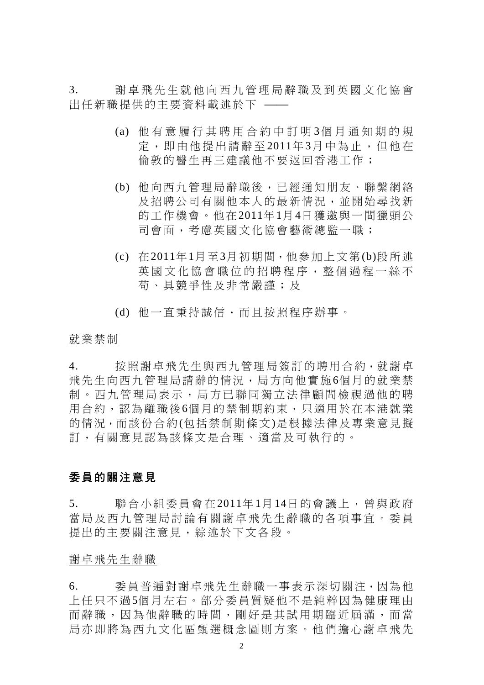3. 謝卓飛先生就他向西九管理局辭職及到英國文化協會 出任新職提供的主要資料載述於下 ––

- (a) 他有意履行其聘用合約中訂明 3個月通知期的規 定,即由他提出請辭至 2011年 3月中為止,但他在 倫敦的醫生再三建議他不要返回香港工作;
- (b) 他向西九管理局辭職後,已經通知朋友、聯繫網絡 及招聘公司有關他本人的最新情況,並開始尋找新 的工作機會。他在2011年1月4日獲邀與一間獵頭公 司會面,考慮英國文化協會藝術總監一職;
- (c) 在2011年1月至3月初期間,他參加上文第(b)段所述 英國文化協會職位的招聘程序, 整個過程一絲不 苟、具競爭性及非常嚴謹;及
- (d) 他一直秉持誠信,而且按照程序辦事。

#### 就業禁制

4. 按照謝卓飛先生與西九管理局簽訂的聘用合約,就謝卓 飛先生向西九管理局請辭的情況,局方向他實施6個月的就業禁 制。西九管理局表示,局方已聯同獨立法律顧問檢視過他的聘 用合約,認為離職後6個月的禁制期約束,只適用於在本港就業 的情況,而該份合約(包括禁制期條文)是根據法律及專業意見擬 訂,有關意見認為該條文是合理、適當及可執行的。

### 委員的關注意見

5. 聯合小組委員會在2011年 1月14日的會議上,曾與政府 當局及西九管理局討論有關謝卓飛先生辭職的各項事宜。委員 提出的主要關注意見,綜述於下文各段。

#### 謝卓飛先生辭職

6. 委員普遍對謝卓飛先生辭職一事表示深切關注,因為他 上任只不過5個月左右。部分委員質疑他不是純粹因為健康理由 而辭職,因為他辭職的時間,剛好是其試用期臨近屆滿,而當 局亦即將為西九文化區甄選概念圖則方案。他們擔心謝卓飛先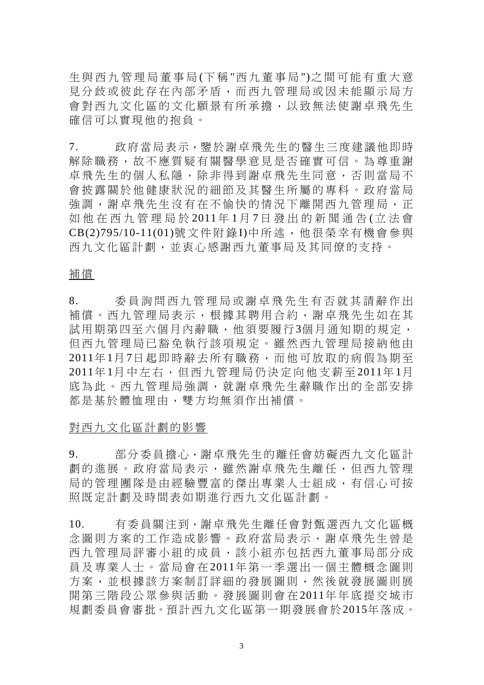生與西九管理局董事局 (下 稱 "西九董事局 ")之間可能有重大意 見分歧或彼此存在內部矛盾,而西九管理局或因未能顯示局方 會對西九文化區的文化願景有所承擔,以致無法使謝卓飛先生 確信可以實現他的抱負。

7. 政府當局表示,鑒於謝卓飛先生的醫生三度建議他即時 解除職務,故不應質疑有關醫學意見是否確實可信。為尊重謝 卓飛先生的個人私隱,除非得到謝卓飛先生同意,否則當局不 會披露關於他健康狀況的細節及其醫生所屬的專科。政府當局 強調,謝卓飛先生沒有在不愉快的情況下離開西九管理局,正 如他在西九管理局於 2011 年 1 月 7 日發出的新聞通告 (立法會 CB(2)795/10-11(01)號文件附錄 I)中所述,他很榮幸有機會參與 西九文化區計劃,並衷心感謝西九董事局及其同僚的支持。

#### 補償

8. 委員詢問西九管理局或謝卓 飛先生有否就其請辭作出 補償。西九管理局表示,根據其聘用合約,謝卓飛先生如在其 試用期第四至六個月內辭職,他須要履行3個月通知期的規定, 但西九管理局已豁免執行該項規定。雖然西九管理局接納他由 2011年1月7日起即時辭去所有職務,而他可放取的病假為期至 2011年1月中左右,但西九管理局仍決定向他支薪至 2011年1月 底為此。西九管理局強調,就謝卓飛先生辭職作出的全部安排 都是基於體恤理由,雙方均無須作出補償。

#### 對西九文化區計劃的影響

9. 部分委員擔心,謝卓飛先生的離任會妨礙西九文化區計 劃的進展。政府當局表示,雖然謝卓飛先生離任,但西九管理 局的管理團隊是由經驗豐富的傑出專業人士組成,有信心可按 照既定計劃及時間表如期進行西九文化區計劃。

10. 有委員關注到,謝卓飛先生離任會對甄選西九文化區概 念圖則方案的工作造成影響。政府當局表示,謝卓飛先生曾是 西九管理局評審小組的成員,該小組亦包括西九董事局部分成 員及專業人士。當局會在 2011年第一季選出一個主體概念圖則 方案,並根據該方案制訂詳細的發展圖則,然後就發展圖則展 開第三階段公眾參與活動。發展圖則會在 2011年年底提交城市 規劃委員會審批。預計西九文化區第一期發展會於2015年落成。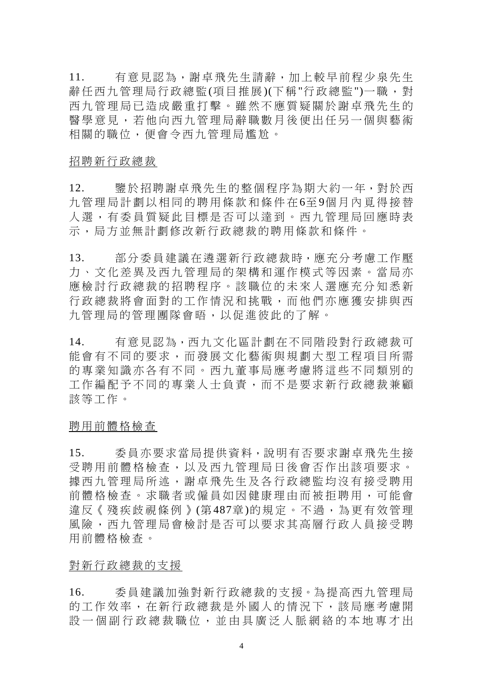11. 有意見認為,謝卓飛先生請辭,加上較早前程少泉先生 辭任西九管理局行政總監(項目推展)(下稱"行政總監")一職,對 西九管理局已造成嚴重打擊。雖然不應質疑關於謝卓飛先生的 醫學意見,若他向西九管理局辭職數月後便出任另一個與藝術 相關的職位,便會令西九管理局尷尬。

招聘新行政總裁

12. 鑒於招聘謝卓飛先生的整個程序為期大約一年,對於西 九管理局計劃以相同的聘用條款和條件在6至9個月內覓得接替 人選,有委員質疑此目標是否可以達到。西九管理局回應時表 示,局方並無計劃修改新行政總裁的聘用條款和條件。

13. 部分委員建議在遴選新行政總裁時,應充分考慮工作壓 力、文化差異及西九管理局的架構和運作模式等因素。當局亦 應檢討行政總裁的招聘程序。該職位的未來人選應充分知悉新 行政總裁將會面對的工作情況和挑戰,而他們亦應獲安排與西 九管理局的管理團隊會晤,以促進彼此的了解。

14. 有意見認為,西九文化區計劃在不同階段對行政總裁可 能會有不同的要求,而發展文化藝術與規劃大型工程項目所需 的專業知識亦各有不同。西九董事局應考慮將這些不同類別的 工作編配予不同的專業人士負責,而不是要求新行政總裁兼顧 該等工作。

聘用前體格檢查

15. 委員亦要求當局提供資料,說明有否要求謝卓飛先生接 受聘用前體格檢查,以及西九管理局日後會否作出該項要求。 據西九管理局所述,謝卓飛先生及各行政總監均沒有接受聘用 前體格檢查。求職者或僱員如因健康理由而被拒聘用,可能會 違反《殘疾歧視條例》(第487章)的規定。不過,為更有效管理 風險,西九管理局會檢討是否可以要求其高層行政人員接受聘 用前體格檢查。

#### 對新行政總裁的支援

16. 委員建議加強對新行政總裁的支援。為提高西九管理局 的工作效率,在新行政總裁是外國人的情況下,該局應考慮開 設一個副行政總裁職位,並由具廣泛人脈網絡的本地專才出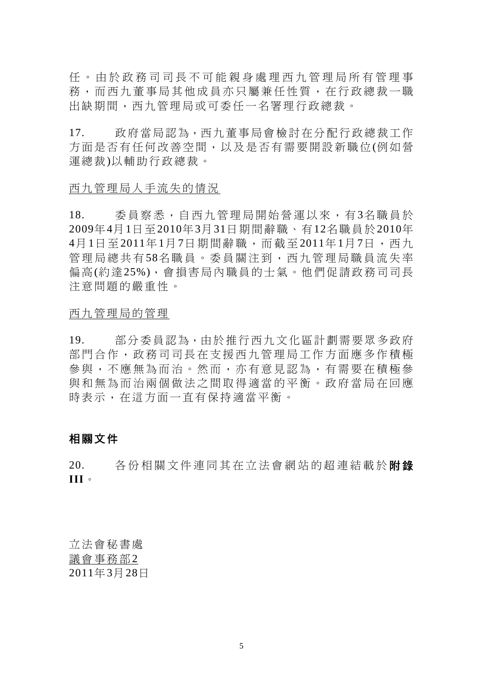任。由於政務司司長不可能親 身處理西九管理局所有管理事 務,而西九董事局其他成員亦只屬兼任性質,在行政總裁一職 出缺期間,西九管理局或可委任一名署理行政總裁。

17. 政府當局認為,西九董事局會檢討在分配行政總裁工作 方面是否有任何改善空間,以及是否有需要開設新職位(例如營 運總裁)以輔助行政總裁。

#### 西九管理局人手流失的情況

18. 委員察悉,自西九管理局開始營運以來,有3名職員於 2009年4月1日至2010年3月31日期間辭職、有12名職員於2010年 4月1日至 2011年 1月 7日期間辭職,而截至 2011年 1月 7日, 西九 管理局總共有 58名職員。委員關注到,西九管理局職員流失率 偏高(約達25%),會損害局內職員的士氣。他們促請政務司司長 注意問題的嚴重性。

#### 西九管理局的管理

19. 部分委員認為,由於推行西九文化區計劃需要眾多政府 部門合作,政務司司長在支援西九管理局工作方面應多作積極 參與,不應無為而治。然而,亦有意見認為,有需要在積極參 與和無為而治兩個做法之間取得適當的平衡。政府當局在回應 時表示,在這方面一直有保持適當平衡。

### 相關文件

20. 各份相關文件連同其在立法會網站的超連結載於附錄 **III**。

立法會秘書處 議會事務部2 2011年3月28日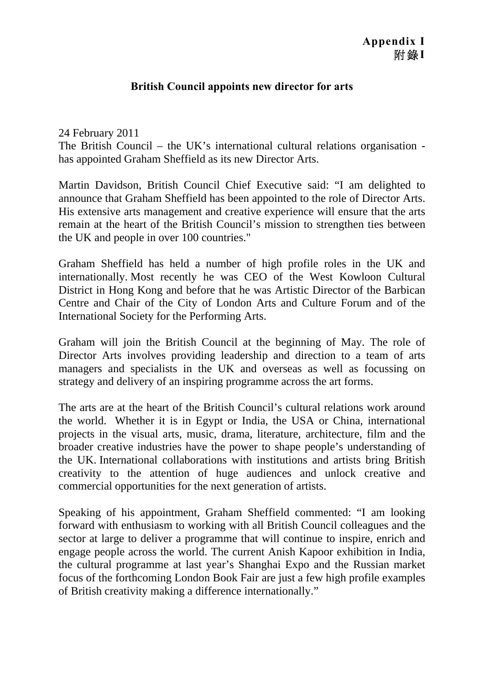### **Appendix I**  附錄**I**

### **British Council appoints new director for arts**

### 24 February 2011 The British Council – the UK's international cultural relations organisation has appointed Graham Sheffield as its new Director Arts.

Martin Davidson, British Council Chief Executive said: "I am delighted to announce that Graham Sheffield has been appointed to the role of Director Arts. His extensive arts management and creative experience will ensure that the arts remain at the heart of the British Council's mission to strengthen ties between the UK and people in over 100 countries."

Graham Sheffield has held a number of high profile roles in the UK and internationally. Most recently he was CEO of the West Kowloon Cultural District in Hong Kong and before that he was Artistic Director of the Barbican Centre and Chair of the City of London Arts and Culture Forum and of the International Society for the Performing Arts.

Graham will join the British Council at the beginning of May. The role of Director Arts involves providing leadership and direction to a team of arts managers and specialists in the UK and overseas as well as focussing on strategy and delivery of an inspiring programme across the art forms.

The arts are at the heart of the British Council's cultural relations work around the world. Whether it is in Egypt or India, the USA or China, international projects in the visual arts, music, drama, literature, architecture, film and the broader creative industries have the power to shape people's understanding of the UK. International collaborations with institutions and artists bring British creativity to the attention of huge audiences and unlock creative and commercial opportunities for the next generation of artists.

Speaking of his appointment, Graham Sheffield commented: "I am looking forward with enthusiasm to working with all British Council colleagues and the sector at large to deliver a programme that will continue to inspire, enrich and engage people across the world. The current Anish Kapoor exhibition in India, the cultural programme at last year's Shanghai Expo and the Russian market focus of the forthcoming London Book Fair are just a few high profile examples of British creativity making a difference internationally."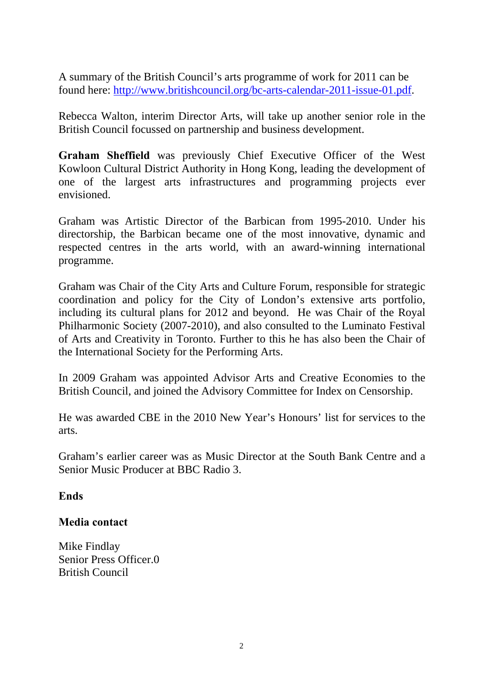A summary of the British Council's arts programme of work for 2011 can be found here: http://www.britishcouncil.org/bc-arts-calendar-2011-issue-01.pdf.

Rebecca Walton, interim Director Arts, will take up another senior role in the British Council focussed on partnership and business development.

**Graham Sheffield** was previously Chief Executive Officer of the West Kowloon Cultural District Authority in Hong Kong, leading the development of one of the largest arts infrastructures and programming projects ever envisioned.

Graham was Artistic Director of the Barbican from 1995-2010. Under his directorship, the Barbican became one of the most innovative, dynamic and respected centres in the arts world, with an award-winning international programme.

Graham was Chair of the City Arts and Culture Forum, responsible for strategic coordination and policy for the City of London's extensive arts portfolio, including its cultural plans for 2012 and beyond. He was Chair of the Royal Philharmonic Society (2007-2010), and also consulted to the Luminato Festival of Arts and Creativity in Toronto. Further to this he has also been the Chair of the International Society for the Performing Arts.

In 2009 Graham was appointed Advisor Arts and Creative Economies to the British Council, and joined the Advisory Committee for Index on Censorship.

He was awarded CBE in the 2010 New Year's Honours' list for services to the arts.

Graham's earlier career was as Music Director at the South Bank Centre and a Senior Music Producer at BBC Radio 3.

### **Ends**

### **Media contact**

Mike Findlay Senior Press Officer.0 British Council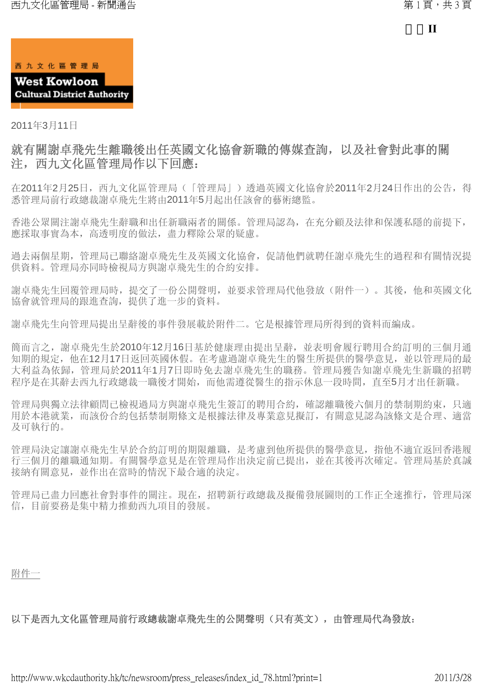

2011年3月11日

### 就有關謝卓飛先生離職後出任英國文化協會新職的傳媒查詢,以及社會對此事的關 注,西九文化區管理局作以下回應:

在2011年2月25日, 西九文化區管理局(「管理局」)透過英國文化協會於2011年2月24日作出的公告, 得 悉管理局前行政總裁謝卓飛先生將由2011年5月起出任該會的藝術總監。

香港公眾關注謝卓飛先生辭職和出任新職兩者的關係。管理局認為,在充分顧及法律和保護私隱的前提下, 應採取事實為本,高透明度的做法,盡力釋除公眾的疑慮。

過去兩個星期,管理局已聯絡謝卓飛先生及英國文化協會,促請他們就聘任謝卓飛先生的過程和有關情況提 供資料。管理局亦同時檢視局方與謝卓飛先生的合約安排。

謝卓飛先生回覆管理局時,提交了一份公開聲明,並要求管理局代他發放(附件一)。其後,他和英國文化 協會就管理局的跟進查詢,提供了進一步的資料。

謝卓飛先生向管理局提出呈辭後的事件發展載於附件二。它是根據管理局所得到的資料而編成。

簡而言之,謝卓飛先生於2010年12月16日基於健康理由提出呈辭,並表明會履行聘用合約訂明的三個月通 知期的規定,他在12月17日返回英國休假。在考慮過謝卓飛先生的醫生所提供的醫學意見,並以管理局的最 大利益為依歸,管理局於2011年1月7日即時免去謝卓飛先生的職務。管理局獲告知謝卓飛先生新職的招聘 程序是在其辭去西九行政總裁一職後才開始,而他需遵從醫生的指示休息一段時間,直至5月才出任新職。

管理局與獨立法律顧問已檢視過局方與謝卓飛先生簽訂的聘用合約,確認離職後六個月的禁制期約束,只適 用於本港就業,而該份合約包括禁制期條文是根據法律及專業意見擬訂,有關意見認為該條文是合理、適當 及可執行的。

管理局決定讓謝卓飛先生早於合約訂明的期限離職,是考慮到他所提供的醫學意見,指他不適宜返回香港履 行三個月的離職通知期。有關醫學意見是在管理局作出決定前已提出,並在其後再次確定。管理局基於真誠 接納有關意見,並作出在當時的情況下最合適的決定。

管理局已盡力回應社會對事件的關注。現在,招聘新行政總裁及擬備發展圖則的工作正全速推行,管理局深 信,目前要務是集中精力推動西九項目的發展。

附件一

以下是西九文化區管理局前行政總裁謝卓飛先生的公開聲明(只有英文),由管理局代為發放: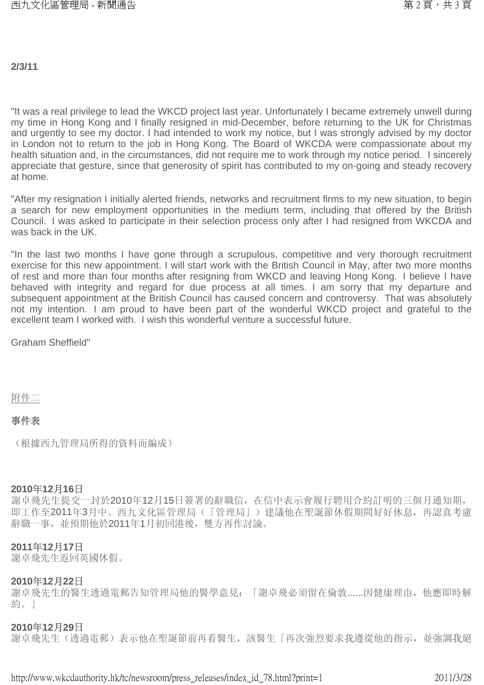#### **2/3/11**

"It was a real privilege to lead the WKCD project last year. Unfortunately I became extremely unwell during my time in Hong Kong and I finally resigned in mid-December, before returning to the UK for Christmas and urgently to see my doctor. I had intended to work my notice, but I was strongly advised by my doctor in London not to return to the job in Hong Kong. The Board of WKCDA were compassionate about my health situation and, in the circumstances, did not require me to work through my notice period. I sincerely appreciate that gesture, since that generosity of spirit has contributed to my on-going and steady recovery at home.

"After my resignation I initially alerted friends, networks and recruitment firms to my new situation, to begin a search for new employment opportunities in the medium term, including that offered by the British Council. I was asked to participate in their selection process only after I had resigned from WKCDA and was back in the UK.

"In the last two months I have gone through a scrupulous, competitive and very thorough recruitment exercise for this new appointment. I will start work with the British Council in May, after two more months of rest and more than four months after resigning from WKCD and leaving Hong Kong. I believe I have behaved with integrity and regard for due process at all times. I am sorry that my departure and subsequent appointment at the British Council has caused concern and controversy. That was absolutely not my intention. I am proud to have been part of the wonderful WKCD project and grateful to the excellent team I worked with. I wish this wonderful venture a successful future.

Graham Sheffield"

附件二

#### 事件表

(根據西九管理局所得的資料而編成)

#### **2010**年**12**月**16**日

謝卓飛先生提交一封於2010年12月15日簽署的辭職信,在信中表示會履行聘用合約訂明的三個月通知期, 即工作至2011年3月中。西九文化區管理局(「管理局」)建議他在聖誕節休假期間好好休息,再認真考慮 辭職一事,並預期他於2011年1月初回港後,雙方再作討論。

#### **2011**年**12**月**17**日

謝卓飛先生返回英國休假。

#### **2010**年**12**月**22**日

謝卓飛先生的醫生透過電郵告知管理局他的醫學意見:「謝卓飛必須留在倫敦......因健康理由,他應即時解 約。」

#### **2010**年**12**月**29**日

謝卓飛先生(透過電郵)表示他在聖誕節前再看醫生,該醫生「再次強烈要求我遵從他的指示,並強調我絕

http://www.wkcdauthority.hk/tc/newsroom/press\_releases/index\_id\_78.html?print=1 2011/3/28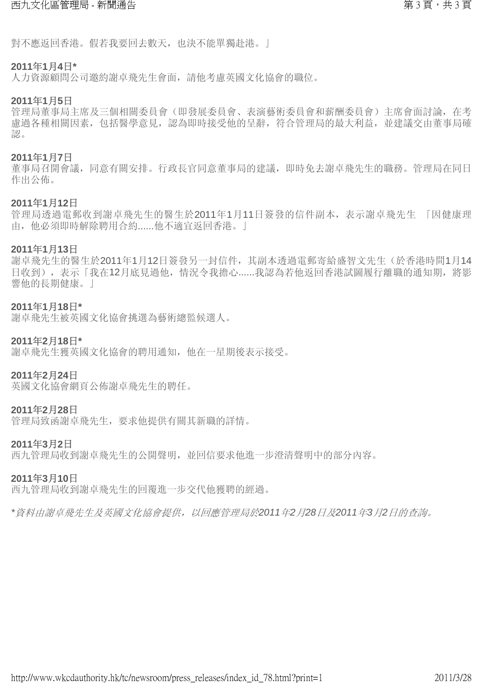對不應返回香港。假若我要回去數天,也決不能單獨赴港。」

#### **2011**年**1**月**4**日**\***

人力資源顧問公司邀約謝卓飛先生會面,請他考慮英國文化協會的職位。

#### **2011**年**1**月**5**日

管理局董事局主席及三個相關委員會(即發展委員會、表演藝術委員會和薪酬委員會)主席會面討論,在考 慮過各種相關因素,包括醫學意見,認為即時接受他的呈辭,符合管理局的最大利益,並建議交由董事局確 認。

#### **2011**年**1**月**7**日

董事局召開會議,同意有關安排。行政長官同意董事局的建議,即時免去謝卓飛先生的職務。管理局在同日 作出公佈。

#### **2011**年**1**月**12**日

管理局透過電郵收到謝卓飛先生的醫生於2011年1月11日簽發的信件副本,表示謝卓飛先生 「因健康理 由,他必須即時解除聘用合約......他不適宜返回香港。」

#### **2011**年**1**月**13**日

謝卓飛先生的醫生於2011年1月12日簽發另一封信件,其副本透過電郵寄給盛智文先生(於香港時間1月14 日收到),表示「我在12月底見過他,情況令我擔心......我認為若他返回香港試圖履行離職的通知期,將影 響他的長期健康。」

#### **2011**年**1**月**18**日**\***

謝卓飛先生被英國文化協會挑選為藝術總監候選人。

#### **2011**年**2**月**18**日**\***

謝卓飛先生獲英國文化協會的聘用通知,他在一星期後表示接受。

#### **2011**年**2**月**24**日

英國文化協會網頁公佈謝卓飛先生的聘任。

#### **2011**年**2**月**28**日

管理局致函謝卓飛先生,要求他提供有關其新職的詳情。

#### **2011**年**3**月**2**日

西九管理局收到謝卓飛先生的公開聲明,並回信要求他進一步澄清聲明中的部分內容。

#### **2011**年**3**月**10**日

西九管理局收到謝卓飛先生的回覆進一步交代他獲聘的經過。

*\**資料由謝卓飛先生及英國文化協會提供,以回應管理局於*2011*年*2*月*28*日及*2011*年*3*月*2*日的查詢。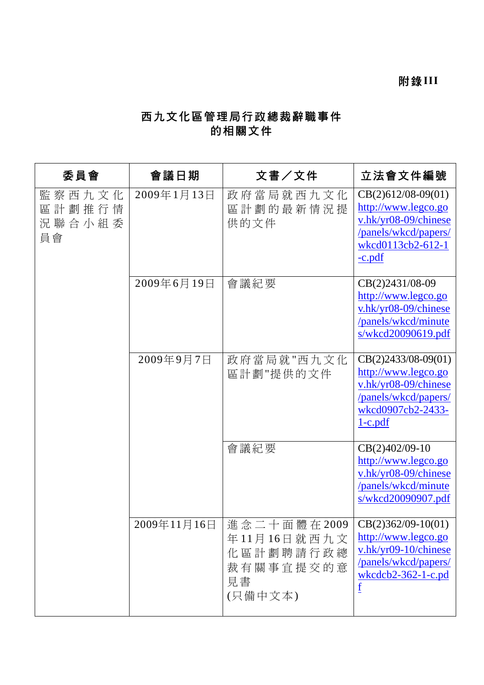## 西九文化區管理局行政總裁辭職事件 的相關文件

| 委員會                                   | 會議日期        | 文書/文件                                                                 | 立法會文件編號                                                                                                                             |
|---------------------------------------|-------------|-----------------------------------------------------------------------|-------------------------------------------------------------------------------------------------------------------------------------|
| 監察西九文化<br>區計劃推行情<br>況 聯 合 小 組 委<br>員會 | 2009年1月13日  | 政府當局就西九文化<br>區計劃的最新情況提<br>供的文件                                        | $CB(2)612/08-09(01)$<br>http://www.legco.go<br>v.hk/yr08-09/chinese<br>/panels/wkcd/papers/<br>wkcd0113cb2-612-1<br>$-c.pdf$        |
|                                       | 2009年6月19日  | 會議紀要                                                                  | CB(2)2431/08-09<br>http://www.legco.go<br>v.hk/yr08-09/chinese<br>/panels/wkcd/minute<br>s/wkcd20090619.pdf                         |
|                                       | 2009年9月7日   | 政府當局就"西九文化<br>區計劃"提供的文件                                               | $CB(2)2433/08-09(01)$<br>http://www.legco.go<br>v.hk/yr08-09/chinese<br>/panels/wkcd/papers/<br>wkcd0907cb2-2433-<br><u>1-c.pdf</u> |
|                                       |             | 會議紀要                                                                  | CB(2)402/09-10<br>http://www.legco.go<br>v.hk/yr08-09/chinese<br>/panels/wkcd/minute<br>s/wkcd20090907.pdf                          |
|                                       | 2009年11月16日 | 進念二十面體在2009<br>年11月16日就西九文<br>化區計劃聘請行政總<br>裁有關事宜提交的意<br>見書<br>(只備中文本) | $ CB(2)362/09-10(01)$<br>http://www.legco.go<br>v.hk/yr09-10/chinese<br>/panels/wkcd/papers/<br>$wkcdcb2-362-1-c.pdf$               |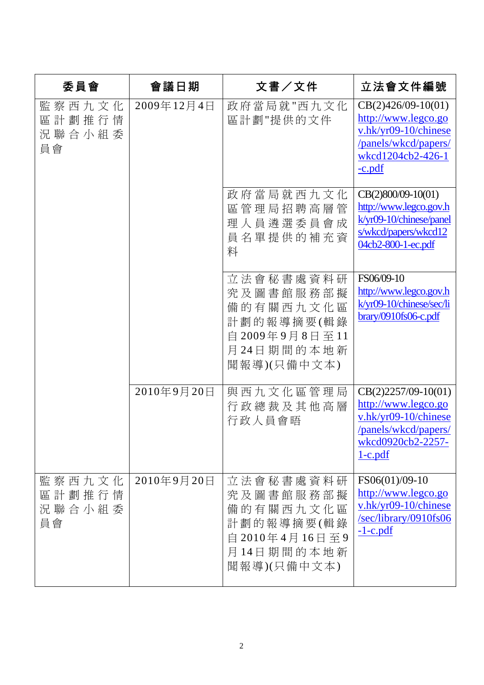| 委員會                              | 會議日期       | 文書/文件                                                                                            | 立法會文件編號                                                                                                                        |
|----------------------------------|------------|--------------------------------------------------------------------------------------------------|--------------------------------------------------------------------------------------------------------------------------------|
| 監察西九文化<br>區計劃推行情<br>況聯合小組委<br>員會 | 2009年12月4日 | 政府當局就"西九文化<br>區計劃"提供的文件                                                                          | $CB(2)426/09-10(01)$<br>http://www.legco.go<br>v.hk/yr09-10/chinese<br>/panels/wkcd/papers/<br>wkcd1204cb2-426-1<br>$-c.pdf$   |
|                                  |            | 政府當局就西九文化<br>區管理局招聘高層管<br>理人員遴選委員會成<br>員名單提供的補充資<br>料                                            | CB(2)800/09-10(01)<br>http://www.legco.gov.h<br>k/yr09-10/chinese/panel<br>s/wkcd/papers/wkcd12<br>04cb2-800-1-ec.pdf          |
|                                  |            | 立法會秘書處資料研<br>究及圖書館服務部擬<br>備的有關西九文化區<br>計劃的報導摘要(輯錄<br>自 2009年9月8日至11<br>月24日期間的本地新<br>聞報導)(只備中文本) | FS06/09-10<br>http://www.legco.gov.h<br>k/yr09-10/chinese/sec/li<br>brary/0910fs06-c.pdf                                       |
|                                  | 2010年9月20日 | 與西九文化區管理局<br>行政總裁及其他高層<br>行政人員會晤                                                                 | $CB(2)2257/09-10(01)$<br>http://www.legco.go<br>v.hk/yr09-10/chinese<br>/panels/wkcd/papers/<br>wkcd0920cb2-2257-<br>$1-c.pdf$ |
| 監察西九文化<br>區計劃推行情<br>況聯合小組委<br>員會 | 2010年9月20日 | 立法會秘書處資料研<br>究及圖書館服務部擬<br>備的有關西九文化區<br>計劃的報導摘要(輯錄<br>自 2010年4月16日至9<br>月14日期間的本地新<br>聞報導)(只備中文本) | FS06(01)/09-10<br>http://www.legco.go<br>v.hk/yr09-10/chinese<br>$\frac{\text{/sec/library}}{0910fs06}$<br>$-1$ -c.pdf         |